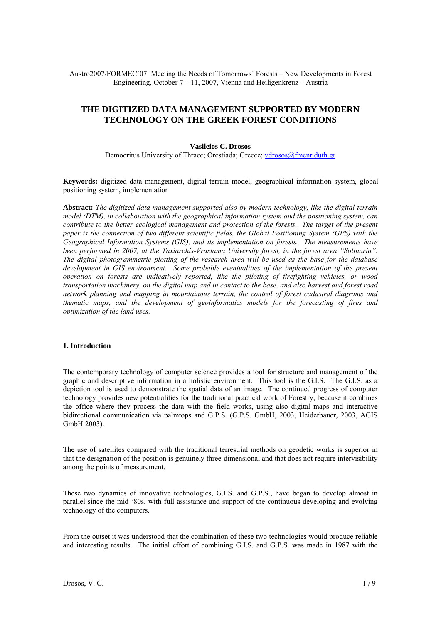Austro2007/FORMEC´07: Meeting the Needs of Tomorrows´ Forests – New Developments in Forest Engineering, October 7 – 11, 2007, Vienna and Heiligenkreuz – Austria

# **THE DIGITIZED DATA MANAGEMENT SUPPORTED BY MODERN TECHNOLOGY ON THE GREEK FOREST CONDITIONS**

#### **Vasileios C. Drosos**

Democritus University of Thrace; Orestiada; Greece; [vdrosos@fmenr.duth.gr](mailto:vdrosos@fmenr.duth.gr)

**Keywords:** digitized data management, digital terrain model, geographical information system, global positioning system, implementation

**Abstract:** *The digitized data management supported also by modern technology, like the digital terrain model (DTM), in collaboration with the geographical information system and the positioning system, can contribute to the better ecological management and protection of the forests. The target of the present paper is the connection of two different scientific fields, the Global Positioning System (GPS) with the Geographical Information Systems (GIS), and its implementation on forests. The measurements have been performed in 2007, at the Taxiarchis-Vrastama University forest, in the forest area "Solinaria". The digital photogrammetric plotting of the research area will be used as the base for the database development in GIS environment. Some probable eventualities of the implementation of the present operation on forests are indicatively reported, like the piloting of firefighting vehicles, or wood transportation machinery, on the digital map and in contact to the base, and also harvest and forest road network planning and mapping in mountainous terrain, the control of forest cadastral diagrams and thematic maps, and the development of geoinformatics models for the forecasting of fires and optimization of the land uses.*

#### **1. Introduction**

The contemporary technology of computer science provides a tool for structure and management of the graphic and descriptive information in a holistic environment. This tool is the G.I.S. The G.I.S. as a depiction tool is used to demonstrate the spatial data of an image. The continued progress of computer technology provides new potentialities for the traditional practical work of Forestry, because it combines the office where they process the data with the field works, using also digital maps and interactive bidirectional communication via palmtops and G.P.S. (G.P.S. GmbH, 2003, Heiderbauer, 2003, AGIS GmbH 2003).

The use of satellites compared with the traditional terrestrial methods on geodetic works is superior in that the designation of the position is genuinely three-dimensional and that does not require intervisibility among the points of measurement.

These two dynamics of innovative technologies, G.I.S. and G.P.S., have began to develop almost in parallel since the mid '80s, with full assistance and support of the continuous developing and evolving technology of the computers.

From the outset it was understood that the combination of these two technologies would produce reliable and interesting results. The initial effort of combining G.I.S. and G.P.S. was made in 1987 with the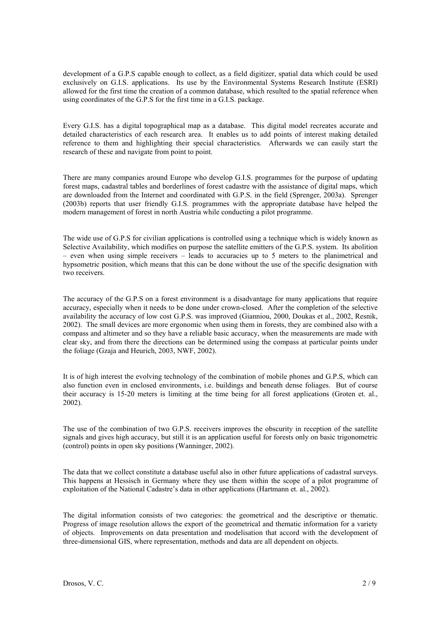development of a G.P.S capable enough to collect, as a field digitizer, spatial data which could be used exclusively on G.I.S. applications. Its use by the Environmental Systems Research Institute (ESRI) allowed for the first time the creation of a common database, which resulted to the spatial reference when using coordinates of the G.P.S for the first time in a G.I.S. package.

Every G.I.S. has a digital topographical map as a database. This digital model recreates accurate and detailed characteristics of each research area. It enables us to add points of interest making detailed reference to them and highlighting their special characteristics. Afterwards we can easily start the research of these and navigate from point to point.

There are many companies around Europe who develop G.I.S. programmes for the purpose of updating forest maps, cadastral tables and borderlines of forest cadastre with the assistance of digital maps, which are downloaded from the Internet and coordinated with G.P.S. in the field (Sprenger, 2003a). Sprenger (2003b) reports that user friendly G.I.S. programmes with the appropriate database have helped the modern management of forest in north Austria while conducting a pilot programme.

The wide use of G.P.S for civilian applications is controlled using a technique which is widely known as Selective Availability, which modifies on purpose the satellite emitters of the G.P.S. system. Its abolition – even when using simple receivers – leads to accuracies up to 5 meters to the planimetrical and hypsometric position, which means that this can be done without the use of the specific designation with two receivers.

The accuracy of the G.P.S on a forest environment is a disadvantage for many applications that require accuracy, especially when it needs to be done under crown-closed. After the completion of the selective availability the accuracy of low cost G.P.S. was improved (Gianniou, 2000, Doukas et al., 2002, Resnik, 2002). The small devices are more ergonomic when using them in forests, they are combined also with a compass and altimeter and so they have a reliable basic accuracy, when the measurements are made with clear sky, and from there the directions can be determined using the compass at particular points under the foliage (Gzaja and Heurich, 2003, NWF, 2002).

It is of high interest the evolving technology of the combination of mobile phones and G.P.S, which can also function even in enclosed environments, i.e. buildings and beneath dense foliages. But of course their accuracy is 15-20 meters is limiting at the time being for all forest applications (Groten et. al., 2002).

The use of the combination of two G.P.S. receivers improves the obscurity in reception of the satellite signals and gives high accuracy, but still it is an application useful for forests only on basic trigonometric (control) points in open sky positions (Wanninger, 2002).

The data that we collect constitute a database useful also in other future applications of cadastral surveys. This happens at Hessisch in Germany where they use them within the scope of a pilot programme of exploitation of the National Cadastre's data in other applications (Hartmann et. al., 2002).

The digital information consists of two categories: the geometrical and the descriptive or thematic. Progress of image resolution allows the export of the geometrical and thematic information for a variety of objects. Improvements on data presentation and modelisation that accord with the development of three-dimensional GIS, where representation, methods and data are all dependent on objects.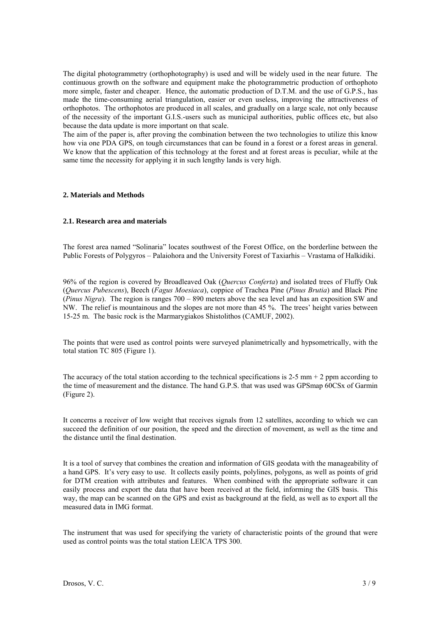The digital photogrammetry (orthophotography) is used and will be widely used in the near future. The continuous growth on the software and equipment make the photogrammetric production of orthophoto more simple, faster and cheaper. Hence, the automatic production of D.T.M. and the use of G.P.S., has made the time-consuming aerial triangulation, easier or even useless, improving the attractiveness of orthophotos. The orthophotos are produced in all scales, and gradually on a large scale, not only because of the necessity of the important G.I.S.-users such as municipal authorities, public offices etc, but also because the data update is more important on that scale.

The aim of the paper is, after proving the combination between the two technologies to utilize this know how via one PDA GPS, on tough circumstances that can be found in a forest or a forest areas in general. We know that the application of this technology at the forest and at forest areas is peculiar, while at the same time the necessity for applying it in such lengthy lands is very high.

# **2. Materials and Methods**

#### **2.1. Research area and materials**

The forest area named "Solinaria" locates southwest of the Forest Office, on the borderline between the Public Forests of Polygyros – Palaiohora and the University Forest of Taxiarhis – Vrastama of Halkidiki.

96% of the region is covered by Broadleaved Oak (*Quercus Conferta*) and isolated trees of Fluffy Oak (*Quercus Pubescens*), Beech (*Fagus Moesiaca*), coppice of Trachea Pine (*Pinus Brutia*) and Black Pine (*Pinus Nigra*). The region is ranges 700 – 890 meters above the sea level and has an exposition SW and NW. The relief is mountainous and the slopes are not more than 45 %. The trees' height varies between 15-25 m. The basic rock is the Marmarygiakos Shistolithos (CAMUF, 2002).

The points that were used as control points were surveyed planimetrically and hypsometrically, with the total station TC 805 (Figure 1).

The accuracy of the total station according to the technical specifications is 2-5  $\text{mm} + 2 \text{ ppm according to}$ the time of measurement and the distance. The hand G.P.S. that was used was GPSmap 60CSx of Garmin (Figure 2).

It concerns a receiver of low weight that receives signals from 12 satellites, according to which we can succeed the definition of our position, the speed and the direction of movement, as well as the time and the distance until the final destination.

It is a tool of survey that combines the creation and information of GIS geodata with the manageability of a hand GPS. It's very easy to use. It collects easily points, polylines, polygons, as well as points of grid for DTM creation with attributes and features. When combined with the appropriate software it can easily process and export the data that have been received at the field, informing the GIS basis. This way, the map can be scanned on the GPS and exist as background at the field, as well as to export all the measured data in IMG format.

The instrument that was used for specifying the variety of characteristic points of the ground that were used as control points was the total station LEICA TPS 300.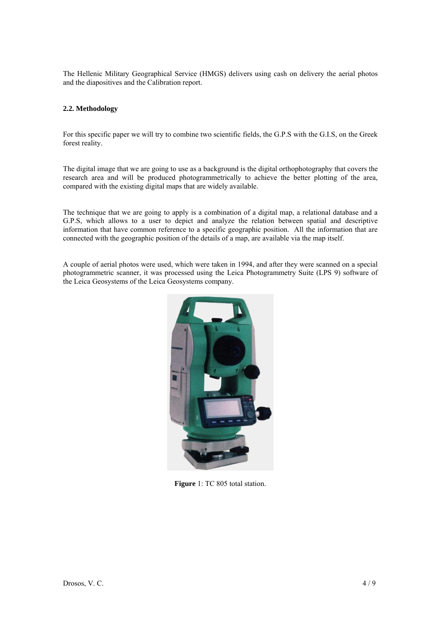The Hellenic Military Geographical Service (HMGS) delivers using cash on delivery the aerial photos and the diapositives and the Calibration report.

# **2.2. Methodology**

For this specific paper we will try to combine two scientific fields, the G.P.S with the G.I.S, on the Greek forest reality.

The digital image that we are going to use as a background is the digital orthophotography that covers the research area and will be produced photogrammetrically to achieve the better plotting of the area, compared with the existing digital maps that are widely available.

The technique that we are going to apply is a combination of a digital map, a relational database and a G.P.S, which allows to a user to depict and analyze the relation between spatial and descriptive information that have common reference to a specific geographic position. All the information that are connected with the geographic position of the details of a map, are available via the map itself.

A couple of aerial photos were used, which were taken in 1994, and after they were scanned on a special photogrammetric scanner, it was processed using the Leica Photogrammetry Suite (LPS 9) software of the Leica Geosystems of the Leica Geosystems company.



**Figure** 1: TC 805 total station.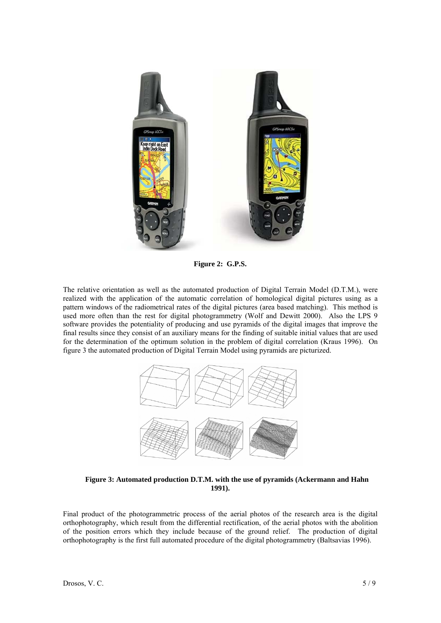

**Figure 2: G.P.S.**

The relative orientation as well as the automated production of Digital Terrain Model (D.T.M.), were realized with the application of the automatic correlation of homological digital pictures using as a pattern windows of the radiometrical rates of the digital pictures (area based matching). This method is used more often than the rest for digital photogrammetry (Wolf and Dewitt 2000). Also the LPS 9 software provides the potentiality of producing and use pyramids of the digital images that improve the final results since they consist of an auxiliary means for the finding of suitable initial values that are used for the determination of the optimum solution in the problem of digital correlation (Kraus 1996). On figure 3 the automated production of Digital Terrain Model using pyramids are picturized.



**Figure 3: Automated production D.T.M. with the use of pyramids (Ackermann and Hahn 1991).** 

Final product of the photogrammetric process of the aerial photos of the research area is the digital orthophotography, which result from the differential rectification, of the aerial photos with the abolition of the position errors which they include because of the ground relief. The production of digital orthophotography is the first full automated procedure of the digital photogrammetry (Baltsavias 1996).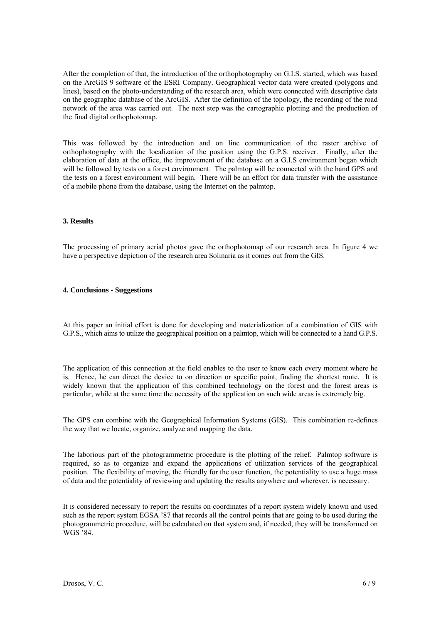After the completion of that, the introduction of the orthophotography on G.I.S. started, which was based on the ArcGIS 9 software of the ESRI Company. Geographical vector data were created (polygons and lines), based on the photo-understanding of the research area, which were connected with descriptive data on the geographic database of the ArcGIS. After the definition of the topology, the recording of the road network of the area was carried out. The next step was the cartographic plotting and the production of the final digital orthophotomap.

This was followed by the introduction and on line communication of the raster archive of orthophotography with the localization of the position using the G.P.S. receiver. Finally, after the elaboration of data at the office, the improvement of the database on a G.I.S environment began which will be followed by tests on a forest environment. The palmtop will be connected with the hand GPS and the tests on a forest environment will begin. There will be an effort for data transfer with the assistance of a mobile phone from the database, using the Internet on the palmtop.

# **3. Results**

The processing of primary aerial photos gave the orthophotomap of our research area. In figure 4 we have a perspective depiction of the research area Solinaria as it comes out from the GIS.

#### **4. Conclusions - Suggestions**

At this paper an initial effort is done for developing and materialization of a combination of GIS with G.P.S., which aims to utilize the geographical position on a palmtop, which will be connected to a hand G.P.S.

The application of this connection at the field enables to the user to know each every moment where he is. Hence, he can direct the device to on direction or specific point, finding the shortest route. It is widely known that the application of this combined technology on the forest and the forest areas is particular, while at the same time the necessity of the application on such wide areas is extremely big.

The GPS can combine with the Geographical Information Systems (GIS). This combination re-defines the way that we locate, organize, analyze and mapping the data.

The laborious part of the photogrammetric procedure is the plotting of the relief. Palmtop software is required, so as to organize and expand the applications of utilization services of the geographical position. The flexibility of moving, the friendly for the user function, the potentiality to use a huge mass of data and the potentiality of reviewing and updating the results anywhere and wherever, is necessary.

It is considered necessary to report the results on coordinates of a report system widely known and used such as the report system ΕGSΑ '87 that records all the control points that are going to be used during the photogrammetric procedure, will be calculated on that system and, if needed, they will be transformed on WGS '84.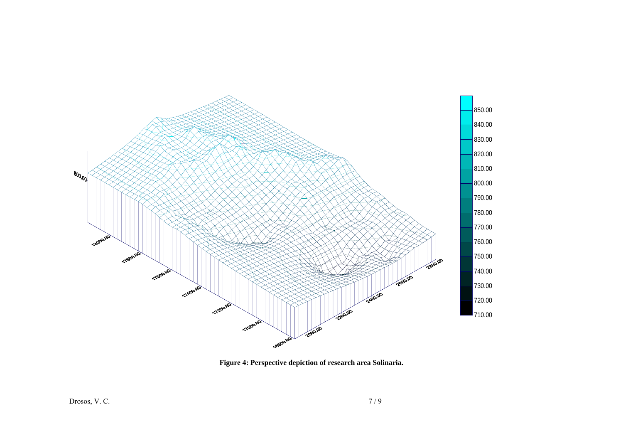

**Figure 4: Perspective depiction of research area Solinaria.**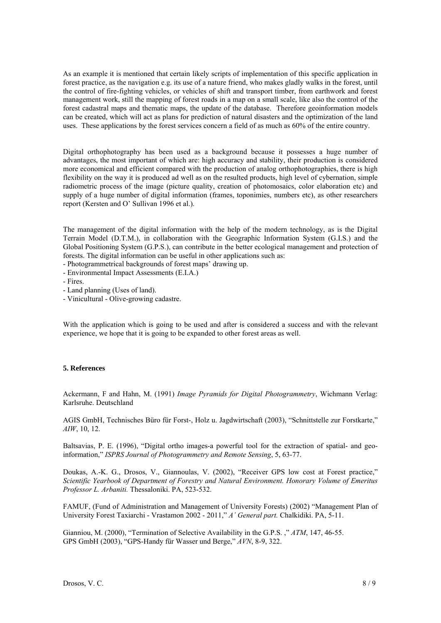As an example it is mentioned that certain likely scripts of implementation of this specific application in forest practice, as the navigation e.g. its use of a nature friend, who makes gladly walks in the forest, until the control of fire-fighting vehicles, or vehicles of shift and transport timber, from earthwork and forest management work, still the mapping of forest roads in a map on a small scale, like also the control of the forest cadastral maps and thematic maps, the update of the database. Therefore geoinformation models can be created, which will act as plans for prediction of natural disasters and the optimization of the land uses. These applications by the forest services concern a field of as much as 60% of the entire country.

Digital orthophotography has been used as a background because it possesses a huge number of advantages, the most important of which are: high accuracy and stability, their production is considered more economical and efficient compared with the production of analog orthophotographies, there is high flexibility on the way it is produced ad well as on the resulted products, high level of cybernation, simple radiometric process of the image (picture quality, creation of photomosaics, color elaboration etc) and supply of a huge number of digital information (frames, toponimies, numbers etc), as other researchers report (Kersten and O' Sullivan 1996 et al.).

The management of the digital information with the help of the modern technology, as is the Digital Terrain Model (D.T.M.), in collaboration with the Geographic Information System (G.I.S.) and the Global Positioning System (G.P.S.), can contribute in the better ecological management and protection of forests. The digital information can be useful in other applications such as:

- Photogrammetrical backgrounds of forest maps' drawing up.
- Environmental Impact Assessments (E.I.A.)
- Fires.
- Land planning (Uses of land).

- Vinicultural - Olive-growing cadastre.

With the application which is going to be used and after is considered a success and with the relevant experience, we hope that it is going to be expanded to other forest areas as well.

### **5. References**

Ackermann, F and Hahn, M. (1991) *Image Pyramids for Digital Photogrammetry*, Wichmann Verlag: Karlsruhe. Deutschland

AGIS GmbH, Technisches Büro für Forst-, Holz u. Jagdwirtschaft (2003), "Schnittstelle zur Forstkarte," *AIW*, 10, 12.

Baltsavias, P. E. (1996), "Digital ortho images-a powerful tool for the extraction of spatial- and geoinformation," *ISPRS Journal of Photogrammetry and Remote Sensing*, 5, 63-77.

Doukas, A.-K. G., Drosos, V., Giannoulas, V. (2002), "Receiver GPS low cost at Forest practice," *Scientific Yearbook of Department of Forestry and Natural Environment. Honorary Volume of Emeritus Professor L. Arbaniti.* Thessaloniki. PA, 523-532.

FAMUF, (Fund of Administration and Management of University Forests) (2002) "Management Plan of University Forest Taxiarchi - Vrastamon 2002 - 2011," *A΄ General part.* Chalkidiki. PA, 5-11.

Gianniou, M. (2000), "Termination of Selective Availability in the G.P.S. ," *ATM*, 147, 46-55. GPS GmbH (2003), "GPS-Handy für Wasser und Berge," *ΑVΝ*, 8-9, 322.